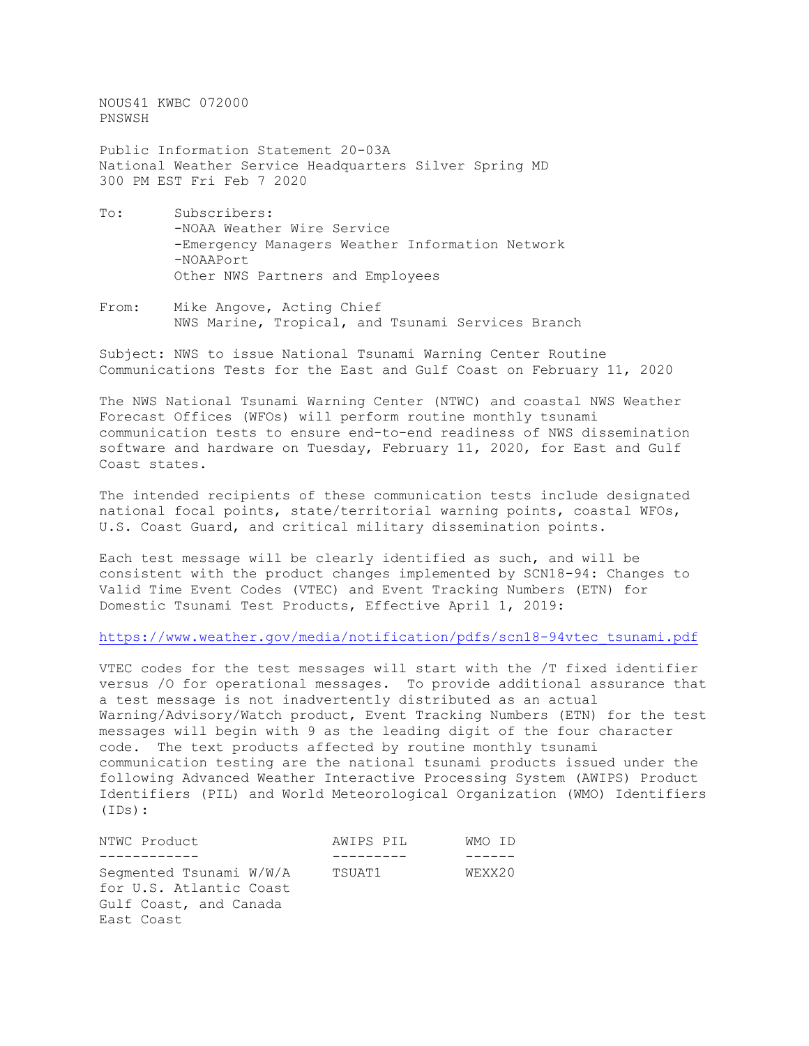NOUS41 KWBC 072000 PNSWSH

Public Information Statement 20-03A National Weather Service Headquarters Silver Spring MD 300 PM EST Fri Feb 7 2020

- To: Subscribers: -NOAA Weather Wire Service -Emergency Managers Weather Information Network -NOAAPort Other NWS Partners and Employees
- From: Mike Angove, Acting Chief NWS Marine, Tropical, and Tsunami Services Branch

Subject: NWS to issue National Tsunami Warning Center Routine Communications Tests for the East and Gulf Coast on February 11, 2020

The NWS National Tsunami Warning Center (NTWC) and coastal NWS Weather Forecast Offices (WFOs) will perform routine monthly tsunami communication tests to ensure end-to-end readiness of NWS dissemination software and hardware on Tuesday, February 11, 2020, for East and Gulf Coast states.

The intended recipients of these communication tests include designated national focal points, state/territorial warning points, coastal WFOs, U.S. Coast Guard, and critical military dissemination points.

Each test message will be clearly identified as such, and will be consistent with the product changes implemented by SCN18-94: Changes to Valid Time Event Codes (VTEC) and Event Tracking Numbers (ETN) for Domestic Tsunami Test Products, Effective April 1, 2019:

[https://www.weather.gov/media/notification/pdfs/scn18-94vtec\\_tsunami.pdf](https://www.weather.gov/media/notification/pdfs/scn18-94vtec_tsunami.pdf)

VTEC codes for the test messages will start with the /T fixed identifier versus /O for operational messages. To provide additional assurance that a test message is not inadvertently distributed as an actual Warning/Advisory/Watch product, Event Tracking Numbers (ETN) for the test messages will begin with 9 as the leading digit of the four character code. The text products affected by routine monthly tsunami communication testing are the national tsunami products issued under the following Advanced Weather Interactive Processing System (AWIPS) Product Identifiers (PIL) and World Meteorological Organization (WMO) Identifiers (IDs):

| NTWC Product                                                                               | AWIPS PIL | WMO ID |
|--------------------------------------------------------------------------------------------|-----------|--------|
|                                                                                            |           |        |
| Segmented Tsunami W/W/A<br>for U.S. Atlantic Coast<br>Gulf Coast, and Canada<br>East Coast | TSUAT1    | WEXX20 |